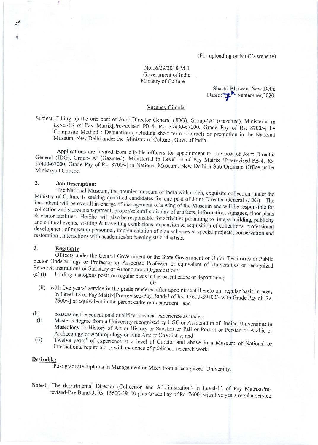(For uploading on MoC's website)

## No.16/29/2018-M-1 Government of India Ministry of Culture

Shastri Bhawan, New Delhi Dated: PM September, 2020.

### Vacancy Circular

Subject: Filling up the one post of Joint Director General (JDG), Group-'A' (Gazetted), Ministerial in Level-13 of Pay Matrix[Pre-revised PB-4, Rs. 37400-67000, Grade Pay of Rs. 8700/-] by Composite Method : Deputation (including short term contract) or promotion in the National Museum, New Delhi under the Ministry of Culture, Govt. of India.

Applications are invited from eligible officers for appointment to one post of Joint Director General (JDG), Group-'A' (Gazetted), Ministerial in Level-13 of Pay Matrix [Pre-revised-PB-4, Rs. 37400-67000, Grade Pay of Rs. 8700/-] in National Museum, New Delhi a Sub-Ordinate Office under Ministry of Culture.

#### $2<sub>1</sub>$ **Job Description:**

The National Museum, the premier museum of India with a rich, exquisite collection, under the Ministry of Culture is seeking qualified candidates for one post of Joint Director General (JDG). The incumbent will be overall in-charge of management of a wing of the Museum and will be responsible for collection and stores management, proper/scientific display of artifacts, information, signages, floor plans & visitor facilities. He/She will also be responsible for activities pertaining to image building, publicity and cultural events, visiting & travelling exhibitions, expansion & acquisition of collections, professional development of museum personnel, implementation of plan schemes & special projects, conservation and restoration, interactions with academics/archaeologists and artists.

#### $3.$ **Eligibility**

Officers under the Central Government or the State Government or Union Territories or Public Sector Undertakings or Professor or Associate Professor or equivalent of Universities or recognized Research Institutions or Statutory or Autonomous Organizations:  $(a)$  $(i)$ 

holding analogous posts on regular basis in the parent cadre or department;

**Or** 

- (ii) with five years' service in the grade rendered after appointment thereto on regular basis in posts in Level-12 of Pay Matrix [Pre-revised-Pay Band-3 of Rs. 15600-39100/- with Grade Pay of Rs. 7600/-] or equivalent in the parent cadre or department; and
- possessing the educational qualifications and experience as under:  $(b)$
- Master's degree from a University recognized by UGC or Association of Indian Universities in  $(i)$ Museology or History of Art or History or Sanskrit or Pali or Prakrit or Persian or Arabic or Archaeology or Anthropology or Fine Arts or Chemistry; and
- Twelve years' of experience at a level of Curator and above in a Museum of National or  $(ii)$ International repute along with evidence of published research work.

## Desirable:

Post graduate diploma in Management or MBA from a recognized University.

Note-1. The departmental Director (Collection and Administration) in Level-12 of Pay Matrix(Prerevised-Pay Band-3, Rs. 15600-39100 plus Grade Pay of Rs. 7600) with five years regular service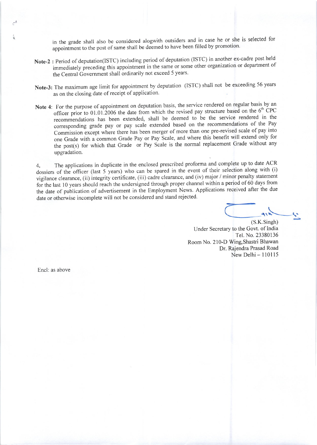in the grade shall also be considered alogwith outsiders and in case he or she is selected for appointment to the post of same shall be deemed to have been filled by promotion.

- Note-2 : Period of deputation(ISTC) including period of deputation (ISTC) in another ex-cadre post held immediately preceding this appointment in the same or some other organization or department of the Central Government shall ordinarily not exceed 5 years.
- Note-3: The maximum age limit for appointment by deputation (ISTC) shall not be exceeding 56 years as on the closing date of receipt of application.
- Note 4: For the purpose of appointment on deputation basis, the service rendered on regular basis by an officer prior to 01.01.2006 the date from which the revised pay structure based on the  $6<sup>th</sup>$  CPC recommendations has been extended, shall be deemed to be the service rendered in the corresponding grade pay or pay scale extended based on the recommendations of the Pay Commission except where there has been merger of more than one pre-revised scale of pay into one Grade with a common Grade Pay or Pay Scale, and where this benefit will extend only for the post(s) for which that Grade or Pay Scale is the normal replacement Grade without any upgradation.

The applications in duplicate in the enclosed prescribed proforma and complete up to date ACR  $\overline{4}$ . dossiers of the officer (last 5 years) who can be spared in the event of their selection along with (i) vigilance clearance, (ii) integrity certificate, (iii) cadre clearance, and (iv) major / minor penalty statement for the last 10 years should reach the undersigned through proper channel within a period of 60 days from the date of publication of advertisement in the Employment News. Applications received after the due date or otherwise incomplete will not be considered and stand rejected.

 $(S.K.Singh)$ Under Secretary to the Govt. of India Tel. No. 23380136 Room No. 210-D Wing, Shastri Bhawan Dr. Rajendra Prasad Road New Delhi - 110115

Encl: as above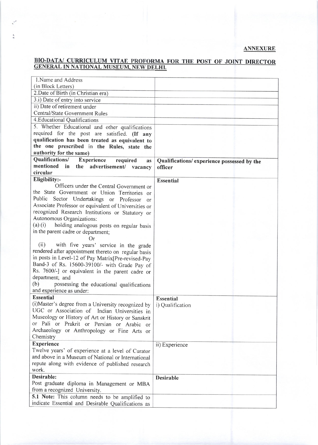# **ANNEXURE**

# BIO-DATA/ CURRICULUM VITAE PROFORMA FOR THE POST OF JOINT DIRECTOR GENERAL IN NATIONAL MUSEUM, NEW DELHI.

| 1. Name and Address                                           |                                             |
|---------------------------------------------------------------|---------------------------------------------|
| (in Block Letters)                                            |                                             |
| 2. Date of Birth (in Christian era)                           |                                             |
| 3.i) Date of entry into service                               |                                             |
| ii) Date of retirement under                                  |                                             |
| Central/State Government Rules                                |                                             |
| 4. Educational Qualifications                                 |                                             |
| 5. Whether Educational and other qualifications               |                                             |
| required for the post are satisfied. (If any                  |                                             |
| qualification has been treated as equivalent to               |                                             |
| the one prescribed in the Rules, state the                    |                                             |
| authority for the same)                                       |                                             |
| Qualifications/<br><b>Experience</b><br>required<br><b>as</b> | Qualifications/ experience possessed by the |
| mentioned in the advertisement/ vacancy                       | officer                                     |
| circular                                                      |                                             |
| Eligibility:-                                                 | <b>Essential</b>                            |
| Officers under the Central Government or                      |                                             |
| the State Government or Union Territories or                  |                                             |
| Public Sector Undertakings or Professor<br>or                 |                                             |
| Associate Professor or equivalent of Universities or          |                                             |
| recognized Research Institutions or Statutory or              |                                             |
| Autonomous Organizations:                                     |                                             |
| $(a)$ (i)<br>holding analogous posts on regular basis         |                                             |
| in the parent cadre or department;                            |                                             |
| Or                                                            |                                             |
| (ii)<br>with five years' service in the grade                 |                                             |
| rendered after appointment thereto on regular basis           |                                             |
| in posts in Level-12 of Pay Matrix[Pre-revised-Pay            |                                             |
| Band-3 of Rs. 15600-39100/- with Grade Pay of                 |                                             |
| Rs. 7600/-] or equivalent in the parent cadre or              |                                             |
| department; and                                               |                                             |
| (b)<br>possessing the educational qualifications              |                                             |
| and experience as under:                                      |                                             |
| <b>Essential</b>                                              | <b>Essential</b>                            |
| (i) Master's degree from a University recognized by           | i) Qualification                            |
| UGC or Association of Indian Universities in                  |                                             |
| Museology or History of Art or History or Sanskrit            |                                             |
| or Pali or Prakrit or Persian or Arabic or                    |                                             |
| Archaeology or Anthropology or Fine Arts or                   |                                             |
| Chemistry                                                     |                                             |
| <b>Experience</b>                                             | ii) Experience                              |
| Twelve years' of experience at a level of Curator             |                                             |
| and above in a Museum of National or International            |                                             |
| repute along with evidence of published research              |                                             |
| work.                                                         |                                             |
| Desirable:                                                    | <b>Desirable</b>                            |
| Post graduate diploma in Management or MBA                    |                                             |
| from a recognized University.                                 |                                             |
| 5.1 Note: This column needs to be amplified to                |                                             |
| indicate Essential and Desirable Qualifications as            |                                             |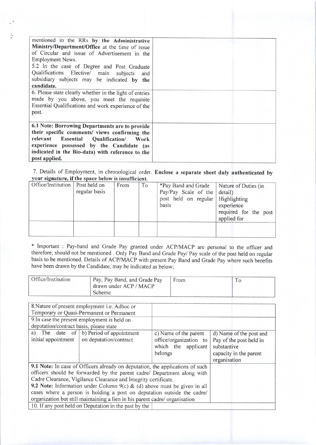| mentioned in the RRs by the Administrative<br>Ministry/Department/Office at the time of issue<br>of Circular and issue of Advertisement in the<br>Employment News.<br>5.2 In the case of Degree and Post Graduate<br>Qualifications Elective/ main subjects<br>and<br>subsidiary subjects may be indicated by the<br>candidate. |  |
|---------------------------------------------------------------------------------------------------------------------------------------------------------------------------------------------------------------------------------------------------------------------------------------------------------------------------------|--|
| 6. Please state clearly whether in the light of entries                                                                                                                                                                                                                                                                         |  |
| made by you above, you meet the requisite                                                                                                                                                                                                                                                                                       |  |
| Essential Qualifications and work experience of the                                                                                                                                                                                                                                                                             |  |
| post.                                                                                                                                                                                                                                                                                                                           |  |
|                                                                                                                                                                                                                                                                                                                                 |  |
| 6.1 Note: Borrowing Departments are to provide                                                                                                                                                                                                                                                                                  |  |
| their specific comments/ views confirming the                                                                                                                                                                                                                                                                                   |  |
| relevant Essential Qualification/ Work                                                                                                                                                                                                                                                                                          |  |
| experience possessed by the Candidate (as                                                                                                                                                                                                                                                                                       |  |
| indicated in the Bio-data) with reference to the                                                                                                                                                                                                                                                                                |  |
| post applied.                                                                                                                                                                                                                                                                                                                   |  |

7. Details of Employment, in chronological order. Enclose a separate sheet duly authenticated by your signature, if the space below is insufficient.

| Office/Institution   Post held on | regular basis | From | T <sub>o</sub> | *Pay Band and Grade<br>Pay/Pay Scale of the detail)<br>post held on regular   Highlighting<br>basis | Nature of Duties (in<br>experience<br>required for the post<br>applied for |
|-----------------------------------|---------------|------|----------------|-----------------------------------------------------------------------------------------------------|----------------------------------------------------------------------------|
|                                   |               |      |                |                                                                                                     |                                                                            |

\* Important : Pay-band and Grade Pay granted under ACP/MACP are personal therefore, should not be mentioned . only Pay Band and Grade Payl Pay scale of the basis to be mentioned. Details of ACP/MACP with present Pay Band and Grade Pay where such benefits have been drawn by the Candidate, may be indicated as below; to the officer and post held on regular

| Office/Institution | Pay, Pay Band, and Grade Pay<br>drawn under ACP / MACP<br>Scheme. | <b>From</b> |  |  |
|--------------------|-------------------------------------------------------------------|-------------|--|--|
|--------------------|-------------------------------------------------------------------|-------------|--|--|

|                                                                            | 8. Nature of present employment <i>i.e.</i> Adhoc or                          |                        |                         |
|----------------------------------------------------------------------------|-------------------------------------------------------------------------------|------------------------|-------------------------|
| Temporary or Quasi-Permanent or Permanent                                  |                                                                               |                        |                         |
| 9. In case the present employment is held on                               |                                                                               |                        |                         |
| deputation/contract basis, please state                                    |                                                                               |                        |                         |
|                                                                            | a) The date of $\vert b \rangle$ Period of appointment                        | c) Name of the parent  | d) Name of the post and |
| initial appointment                                                        | on deputation/contract                                                        | office/organization to | Pay of the post held in |
|                                                                            |                                                                               | which the applicant    | substantive             |
|                                                                            |                                                                               | belongs                | capacity in the parent  |
|                                                                            |                                                                               |                        | organisation            |
|                                                                            | 9.1 Note: In case of Officers already on deputation, the applications of such |                        |                         |
|                                                                            | officers should be forwarded by the parent cadre/ Department along with       |                        |                         |
| Cadre Clearance, Vigilance Clearance and Integrity certificate.            |                                                                               |                        |                         |
| 9.2 Note: Information under Column 9(c) & (d) above must be given in all   |                                                                               |                        |                         |
| cases where a person is holding a post on deputation outside the cadre/    |                                                                               |                        |                         |
| organization but still maintaining a lien in his parent cadre/organisation |                                                                               |                        |                         |
| 10. If any post held on Deputation in the past by the                      |                                                                               |                        |                         |